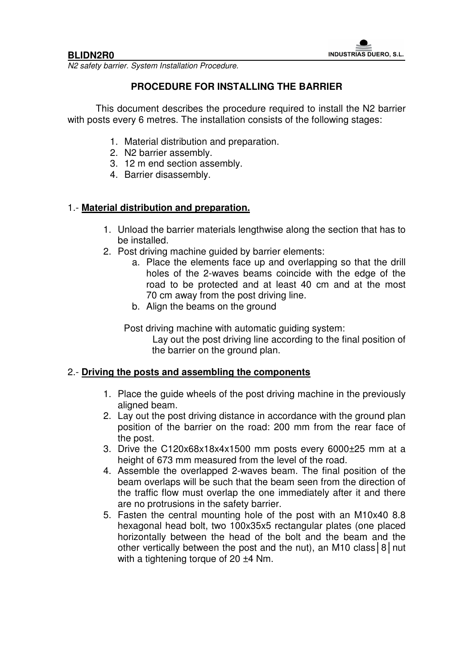N2 safety barrier. System Installation Procedure.

# **PROCEDURE FOR INSTALLING THE BARRIER**

This document describes the procedure required to install the N2 barrier with posts every 6 metres. The installation consists of the following stages:

- 1. Material distribution and preparation.
- 2. N2 barrier assembly.
- 3. 12 m end section assembly.
- 4. Barrier disassembly.

## 1.- **Material distribution and preparation.**

- 1. Unload the barrier materials lengthwise along the section that has to be installed.
- 2. Post driving machine guided by barrier elements:
	- a. Place the elements face up and overlapping so that the drill holes of the 2-waves beams coincide with the edge of the road to be protected and at least 40 cm and at the most 70 cm away from the post driving line.
	- b. Align the beams on the ground

Post driving machine with automatic guiding system:

Lay out the post driving line according to the final position of the barrier on the ground plan.

### 2.- **Driving the posts and assembling the components**

- 1. Place the guide wheels of the post driving machine in the previously aligned beam.
- 2. Lay out the post driving distance in accordance with the ground plan position of the barrier on the road: 200 mm from the rear face of the post.
- 3. Drive the C120x68x18x4x1500 mm posts every 6000±25 mm at a height of 673 mm measured from the level of the road.
- 4. Assemble the overlapped 2-waves beam. The final position of the beam overlaps will be such that the beam seen from the direction of the traffic flow must overlap the one immediately after it and there are no protrusions in the safety barrier.
- 5. Fasten the central mounting hole of the post with an M10x40 8.8 hexagonal head bolt, two 100x35x5 rectangular plates (one placed horizontally between the head of the bolt and the beam and the other vertically between the post and the nut), an M10 class 8 | nut with a tightening torque of 20  $\pm$ 4 Nm.